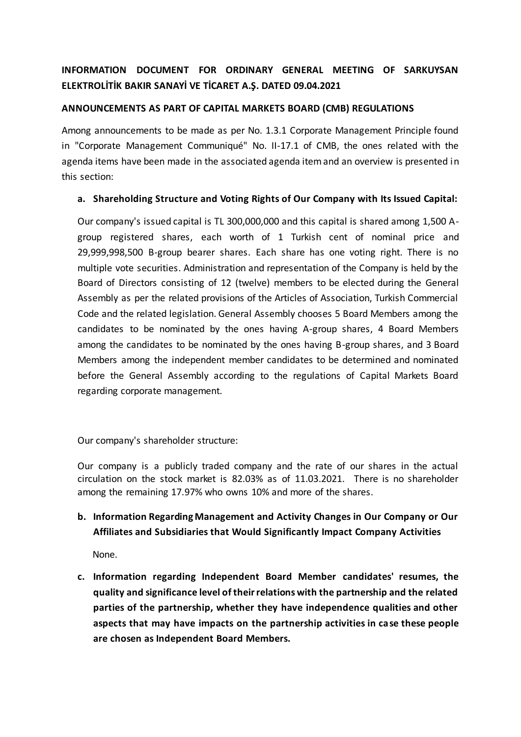# **INFORMATION DOCUMENT FOR ORDINARY GENERAL MEETING OF SARKUYSAN ELEKTROLİTİK BAKIR SANAYİ VE TİCARET A.Ş. DATED 09.04.2021**

### **ANNOUNCEMENTS AS PART OF CAPITAL MARKETS BOARD (CMB) REGULATIONS**

Among announcements to be made as per No. 1.3.1 Corporate Management Principle found in "Corporate Management Communiqué" No. II-17.1 of CMB, the ones related with the agenda items have been made in the associated agenda item and an overview is presented in this section:

#### **a. Shareholding Structure and Voting Rights of Our Company with Its Issued Capital:**

Our company's issued capital is TL 300,000,000 and this capital is shared among 1,500 Agroup registered shares, each worth of 1 Turkish cent of nominal price and 29,999,998,500 B-group bearer shares. Each share has one voting right. There is no multiple vote securities. Administration and representation of the Company is held by the Board of Directors consisting of 12 (twelve) members to be elected during the General Assembly as per the related provisions of the Articles of Association, Turkish Commercial Code and the related legislation. General Assembly chooses 5 Board Members among the candidates to be nominated by the ones having A-group shares, 4 Board Members among the candidates to be nominated by the ones having B-group shares, and 3 Board Members among the independent member candidates to be determined and nominated before the General Assembly according to the regulations of Capital Markets Board regarding corporate management.

Our company's shareholder structure:

Our company is a publicly traded company and the rate of our shares in the actual circulation on the stock market is 82.03% as of 11.03.2021. There is no shareholder among the remaining 17.97% who owns 10% and more of the shares.

# **b. Information Regarding Management and Activity Changes in Our Company or Our Affiliates and Subsidiaries that Would Significantly Impact Company Activities**

None.

**c. Information regarding Independent Board Member candidates' resumes, the quality and significance level of their relations with the partnership and the related parties of the partnership, whether they have independence qualities and other aspects that may have impacts on the partnership activities in case these people are chosen as Independent Board Members.**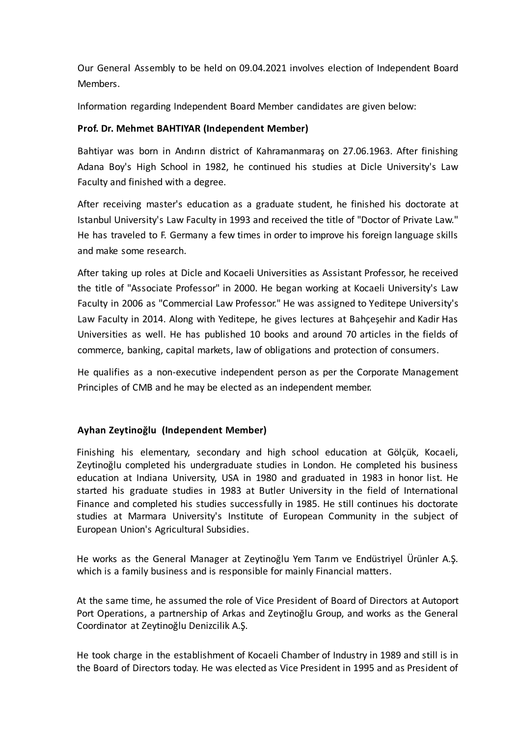Our General Assembly to be held on 09.04.2021 involves election of Independent Board Members.

Information regarding Independent Board Member candidates are given below:

## **Prof. Dr. Mehmet BAHTIYAR (Independent Member)**

Bahtiyar was born in Andırın district of Kahramanmaraş on 27.06.1963. After finishing Adana Boy's High School in 1982, he continued his studies at Dicle University's Law Faculty and finished with a degree.

After receiving master's education as a graduate student, he finished his doctorate at Istanbul University's Law Faculty in 1993 and received the title of "Doctor of Private Law." He has traveled to F. Germany a few times in order to improve his foreign language skills and make some research.

After taking up roles at Dicle and Kocaeli Universities as Assistant Professor, he received the title of "Associate Professor" in 2000. He began working at Kocaeli University's Law Faculty in 2006 as "Commercial Law Professor." He was assigned to Yeditepe University's Law Faculty in 2014. Along with Yeditepe, he gives lectures at Bahçeşehir and Kadir Has Universities as well. He has published 10 books and around 70 articles in the fields of commerce, banking, capital markets, law of obligations and protection of consumers.

He qualifies as a non-executive independent person as per the Corporate Management Principles of CMB and he may be elected as an independent member.

### **Ayhan Zeytinoğlu (Independent Member)**

Finishing his elementary, secondary and high school education at Gölçük, Kocaeli, Zeytinoğlu completed his undergraduate studies in London. He completed his business education at Indiana University, USA in 1980 and graduated in 1983 in honor list. He started his graduate studies in 1983 at Butler University in the field of International Finance and completed his studies successfully in 1985. He still continues his doctorate studies at Marmara University's Institute of European Community in the subject of European Union's Agricultural Subsidies.

He works as the General Manager at Zeytinoğlu Yem Tarım ve Endüstriyel Ürünler A.Ş. which is a family business and is responsible for mainly Financial matters.

At the same time, he assumed the role of Vice President of Board of Directors at Autoport Port Operations, a partnership of Arkas and Zeytinoğlu Group, and works as the General Coordinator at Zeytinoğlu Denizcilik A.Ş.

He took charge in the establishment of Kocaeli Chamber of Industry in 1989 and still is in the Board of Directors today. He was elected as Vice President in 1995 and as President of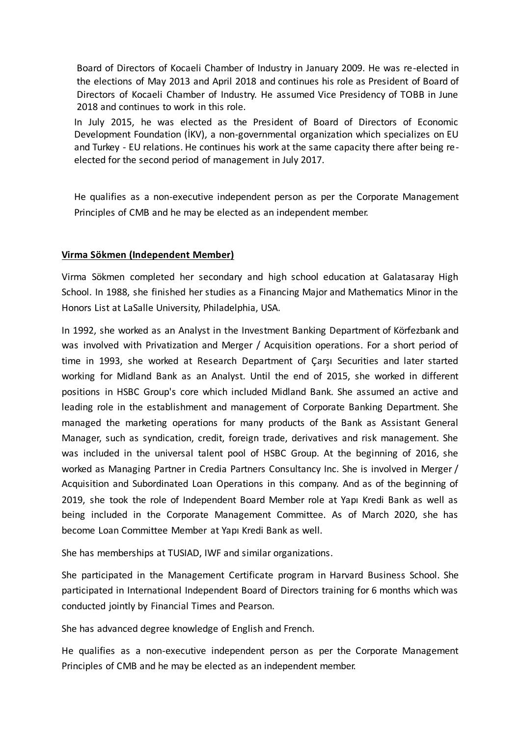Board of Directors of Kocaeli Chamber of Industry in January 2009. He was re-elected in the elections of May 2013 and April 2018 and continues his role as President of Board of Directors of Kocaeli Chamber of Industry. He assumed Vice Presidency of TOBB in June 2018 and continues to work in this role.

In July 2015, he was elected as the President of Board of Directors of Economic Development Foundation (İKV), a non-governmental organization which specializes on EU and Turkey - EU relations. He continues his work at the same capacity there after being reelected for the second period of management in July 2017.

He qualifies as a non-executive independent person as per the Corporate Management Principles of CMB and he may be elected as an independent member.

#### **Virma Sökmen (Independent Member)**

Virma Sökmen completed her secondary and high school education at Galatasaray High School. In 1988, she finished her studies as a Financing Major and Mathematics Minor in the Honors List at LaSalle University, Philadelphia, USA.

In 1992, she worked as an Analyst in the Investment Banking Department of Körfezbank and was involved with Privatization and Merger / Acquisition operations. For a short period of time in 1993, she worked at Research Department of Çarşı Securities and later started working for Midland Bank as an Analyst. Until the end of 2015, she worked in different positions in HSBC Group's core which included Midland Bank. She assumed an active and leading role in the establishment and management of Corporate Banking Department. She managed the marketing operations for many products of the Bank as Assistant General Manager, such as syndication, credit, foreign trade, derivatives and risk management. She was included in the universal talent pool of HSBC Group. At the beginning of 2016, she worked as Managing Partner in Credia Partners Consultancy Inc. She is involved in Merger / Acquisition and Subordinated Loan Operations in this company. And as of the beginning of 2019, she took the role of Independent Board Member role at Yapı Kredi Bank as well as being included in the Corporate Management Committee. As of March 2020, she has become Loan Committee Member at Yapı Kredi Bank as well.

She has memberships at TUSIAD, IWF and similar organizations.

She participated in the Management Certificate program in Harvard Business School. She participated in International Independent Board of Directors training for 6 months which was conducted jointly by Financial Times and Pearson.

She has advanced degree knowledge of English and French.

He qualifies as a non-executive independent person as per the Corporate Management Principles of CMB and he may be elected as an independent member.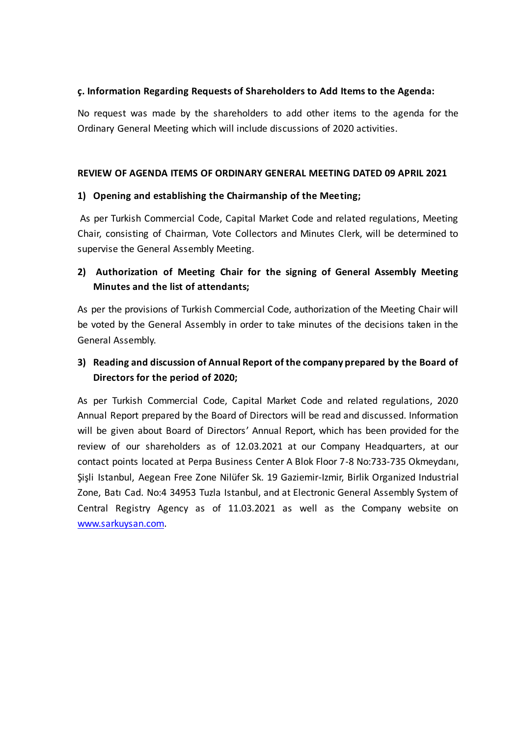### **ç. Information Regarding Requests of Shareholders to Add Items to the Agenda:**

No request was made by the shareholders to add other items to the agenda for the Ordinary General Meeting which will include discussions of 2020 activities.

#### **REVIEW OF AGENDA ITEMS OF ORDINARY GENERAL MEETING DATED 09 APRIL 2021**

### **1) Opening and establishing the Chairmanship of the Meeting;**

 As per Turkish Commercial Code, Capital Market Code and related regulations, Meeting Chair, consisting of Chairman, Vote Collectors and Minutes Clerk, will be determined to supervise the General Assembly Meeting.

## **2) Authorization of Meeting Chair for the signing of General Assembly Meeting Minutes and the list of attendants;**

As per the provisions of Turkish Commercial Code, authorization of the Meeting Chair will be voted by the General Assembly in order to take minutes of the decisions taken in the General Assembly.

# **3) Reading and discussion of Annual Report of the company prepared by the Board of Directors for the period of 2020;**

As per Turkish Commercial Code, Capital Market Code and related regulations, 2020 Annual Report prepared by the Board of Directors will be read and discussed. Information will be given about Board of Directors' Annual Report, which has been provided for the review of our shareholders as of 12.03.2021 at our Company Headquarters, at our contact points located at Perpa Business Center A Blok Floor 7-8 No:733-735 Okmeydanı, Şişli Istanbul, Aegean Free Zone Nilüfer Sk. 19 Gaziemir-Izmir, Birlik Organized Industrial Zone, Batı Cad. No:4 34953 Tuzla Istanbul, and at Electronic General Assembly System of Central Registry Agency as of 11.03.2021 as well as the Company website on [www.sarkuysan.com.](http://www.sarkuysan.com/)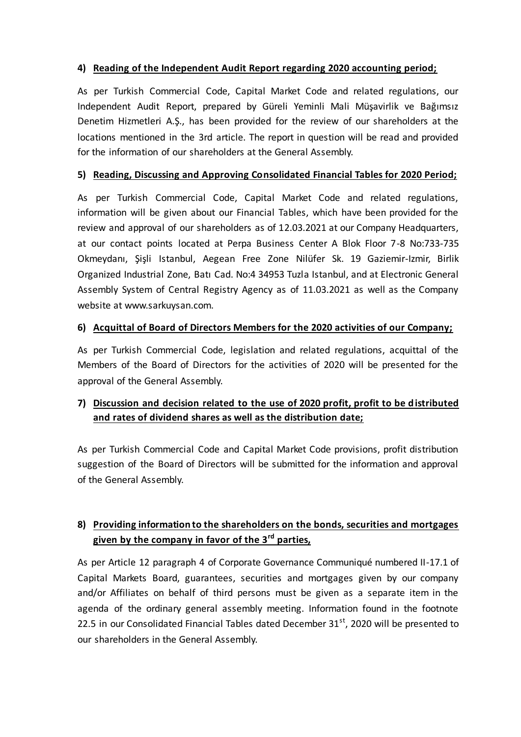## **4) Reading of the Independent Audit Report regarding 2020 accounting period;**

As per Turkish Commercial Code, Capital Market Code and related regulations, our Independent Audit Report, prepared by Güreli Yeminli Mali Müşavirlik ve Bağımsız Denetim Hizmetleri A.Ş., has been provided for the review of our shareholders at the locations mentioned in the 3rd article. The report in question will be read and provided for the information of our shareholders at the General Assembly.

## **5) Reading, Discussing and Approving Consolidated Financial Tables for 2020 Period;**

As per Turkish Commercial Code, Capital Market Code and related regulations, information will be given about our Financial Tables, which have been provided for the review and approval of our shareholders as of 12.03.2021 at our Company Headquarters, at our contact points located at Perpa Business Center A Blok Floor 7-8 No:733-735 Okmeydanı, Şişli Istanbul, Aegean Free Zone Nilüfer Sk. 19 Gaziemir-Izmir, Birlik Organized Industrial Zone, Batı Cad. No:4 34953 Tuzla Istanbul, and at Electronic General Assembly System of Central Registry Agency as of 11.03.2021 as well as the Company website at www.sarkuysan.com.

## **6) Acquittal of Board of Directors Members for the 2020 activities of our Company;**

As per Turkish Commercial Code, legislation and related regulations, acquittal of the Members of the Board of Directors for the activities of 2020 will be presented for the approval of the General Assembly.

# **7) Discussion and decision related to the use of 2020 profit, profit to be d istributed and rates of dividend shares as well as the distribution date;**

As per Turkish Commercial Code and Capital Market Code provisions, profit distribution suggestion of the Board of Directors will be submitted for the information and approval of the General Assembly.

# **8) Providing information to the shareholders on the bonds, securities and mortgages given by the company in favor of the 3rd parties,**

As per Article 12 paragraph 4 of Corporate Governance Communiqué numbered II-17.1 of Capital Markets Board, guarantees, securities and mortgages given by our company and/or Affiliates on behalf of third persons must be given as a separate item in the agenda of the ordinary general assembly meeting. Information found in the footnote 22.5 in our Consolidated Financial Tables dated December  $31<sup>st</sup>$ , 2020 will be presented to our shareholders in the General Assembly.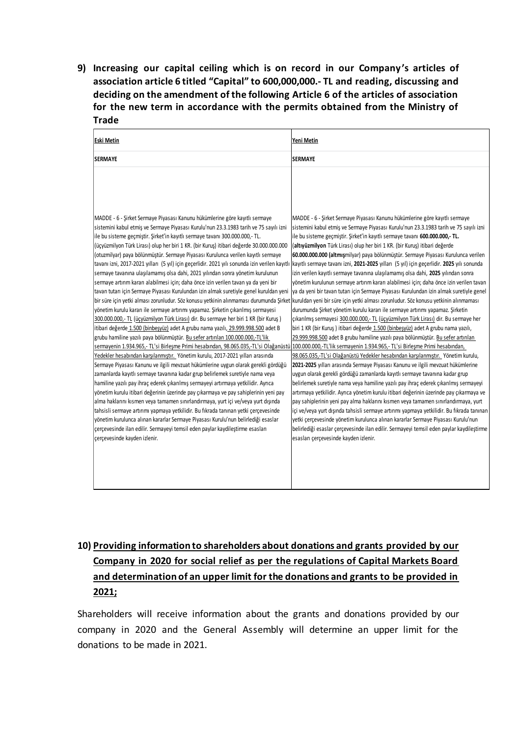**9) Increasing our capital ceiling which is on record in our Company 's articles of association article 6 titled "Capital" to 600,000,000.- TL and reading, discussing and deciding on the amendment of the following Article 6 of the articles of association for the new term in accordance with the permits obtained from the Ministry of Trade** 

| <b>Eski Metin</b>                                                                                                                                                                                                                                                                                                                                                                                                                                                                                                                                                                                                                                                                                                                                                                                                                                                                                                                                                                                                                                                                                                                                                                                                                                                                                                                                                                                                                                                                                                                                                                                                                                                                                                                                                                                                                                                                                                                                                                                                                                                                                                                                                                                                                                                                                                                          | Yeni Metin                                                                                                                                                                                                                                                                                                                                                                                                                                                                                                                                                                                                                                                                                                                                                                                                                                                                                                                                                                                                                                                                                                                                                                                                                                                                                                                                                                                                                                                                                                                                                                                                                                                                                                                                                                                                                                                                                                                                                                                               |
|--------------------------------------------------------------------------------------------------------------------------------------------------------------------------------------------------------------------------------------------------------------------------------------------------------------------------------------------------------------------------------------------------------------------------------------------------------------------------------------------------------------------------------------------------------------------------------------------------------------------------------------------------------------------------------------------------------------------------------------------------------------------------------------------------------------------------------------------------------------------------------------------------------------------------------------------------------------------------------------------------------------------------------------------------------------------------------------------------------------------------------------------------------------------------------------------------------------------------------------------------------------------------------------------------------------------------------------------------------------------------------------------------------------------------------------------------------------------------------------------------------------------------------------------------------------------------------------------------------------------------------------------------------------------------------------------------------------------------------------------------------------------------------------------------------------------------------------------------------------------------------------------------------------------------------------------------------------------------------------------------------------------------------------------------------------------------------------------------------------------------------------------------------------------------------------------------------------------------------------------------------------------------------------------------------------------------------------------|----------------------------------------------------------------------------------------------------------------------------------------------------------------------------------------------------------------------------------------------------------------------------------------------------------------------------------------------------------------------------------------------------------------------------------------------------------------------------------------------------------------------------------------------------------------------------------------------------------------------------------------------------------------------------------------------------------------------------------------------------------------------------------------------------------------------------------------------------------------------------------------------------------------------------------------------------------------------------------------------------------------------------------------------------------------------------------------------------------------------------------------------------------------------------------------------------------------------------------------------------------------------------------------------------------------------------------------------------------------------------------------------------------------------------------------------------------------------------------------------------------------------------------------------------------------------------------------------------------------------------------------------------------------------------------------------------------------------------------------------------------------------------------------------------------------------------------------------------------------------------------------------------------------------------------------------------------------------------------------------------------|
| <b>SERMAYE</b>                                                                                                                                                                                                                                                                                                                                                                                                                                                                                                                                                                                                                                                                                                                                                                                                                                                                                                                                                                                                                                                                                                                                                                                                                                                                                                                                                                                                                                                                                                                                                                                                                                                                                                                                                                                                                                                                                                                                                                                                                                                                                                                                                                                                                                                                                                                             | <b>SERMAYE</b>                                                                                                                                                                                                                                                                                                                                                                                                                                                                                                                                                                                                                                                                                                                                                                                                                                                                                                                                                                                                                                                                                                                                                                                                                                                                                                                                                                                                                                                                                                                                                                                                                                                                                                                                                                                                                                                                                                                                                                                           |
| MADDE - 6 - Şirket Sermaye Piyasası Kanunu hükümlerine göre kayıtlı sermaye<br>sistemini kabul etmiş ve Sermaye Piyasası Kurulu'nun 23.3.1983 tarih ve 75 sayılı izni<br>ile bu sisteme geçmiştir. Şirket'in kayıtlı sermaye tavanı 300.000.000,- TL.<br>(üçyüzmilyon Türk Lirası) olup her biri 1 KR. (bir Kuruş) itibari değerde 30.000.000.000<br>(otuzmilyar) paya bölünmüştür. Sermaye Piyasası Kurulunca verilen kayıtlı sermaye<br>tavanı izni, 2017-2021 yılları (5 yıl) için geçerlidir. 2021 yılı sonunda izin verilen kayıtlı<br>sermaye tavanına ulaşılamamış olsa dahi, 2021 yılından sonra yönetim kurulunun<br>sermaye artırım kararı alabilmesi için; daha önce izin verilen tavan ya da yeni bir<br>tavan tutarı için Sermaye Piyasası Kurulundan izin almak suretiyle genel kuruldan yeni<br>bir süre için yetki alması zorunludur. Söz konusu yetkinin alınmaması durumunda Şirket kuruldan yeni bir süre için yetki alması zorunludur. Söz konusu yetkinin alınmaması<br>yönetim kurulu kararı ile sermaye artırımı yapamaz. Şirketin çıkarılmış sermayesi<br>300.000.000,- TL (üçyüzmilyon Türk Lirası) dir. Bu sermaye her biri 1 KR (bir Kuruş)<br>itibari değerde 1.500 (binbeşyüz) adet A grubu nama yazılı, 29.999.998.500 adet B<br>grubu hamiline yazılı paya bölünmüştür. Bu sefer artırılan 100.000.000,-TL'lik<br>sermayenin 1.934.965,- TL'si Birlesme Primi hesabından, 98.065.035,-TL'si Olağanüstü 100.000.000,-TL'lik sermayenin 1.934.965,- TL'si Birlesme Primi hesabından,<br>Yedekler hesabından karşılanmıştır. Yönetim kurulu, 2017-2021 yılları arasında<br>Sermaye Piyasası Kanunu ve ilgili mevzuat hükümlerine uygun olarak gerekli gördüğü<br>zamanlarda kayıtlı sermaye tavanına kadar grup belirlemek suretiyle nama veya<br>hamiline yazılı pay ihraç ederek çıkarılmış sermayeyi artırmaya yetkilidir. Ayrıca<br>yönetim kurulu itibari değerinin üzerinde pay çıkarmaya ve pay sahiplerinin yeni pay<br>alma haklarını kısmen veya tamamen sınırlandırmaya, yurt içi ve/veya yurt dışında<br>tahsisli sermaye artırımı yapmaya yetkilidir. Bu fıkrada tanınan yetki çerçevesinde<br>yönetim kurulunca alınan kararlar Sermaye Piyasası Kurulu'nun belirlediği esaslar<br>çerçevesinde ilan edilir. Sermayeyi temsil eden paylar kaydileştirme esasları<br>çerçevesinde kayden izlenir. | MADDE - 6 - Sirket Sermaye Piyasası Kanunu hükümlerine göre kayıtlı sermaye<br>sistemini kabul etmiş ve Sermaye Piyasası Kurulu'nun 23.3.1983 tarih ve 75 sayılı izni<br>ile bu sisteme geçmiştir. Şirket'in kayıtlı sermaye tavanı 600.000.000,- TL.<br>(altıyüzmilyon Türk Lirası) olup her biri 1 KR. (bir Kuruş) itibari değerde<br>60.000.000.000 (altmışmilyar) paya bölünmüştür. Sermaye Piyasası Kurulunca verilen<br>kayıtlı sermaye tavanı izni, 2021-2025 yılları (5 yıl) için geçerlidir. 2025 yılı sonunda<br>izin verilen kayıtlı sermaye tavanına ulaşılamamış olsa dahi, 2025 yılından sonra<br>yönetim kurulunun sermaye artırım kararı alabilmesi için; daha önce izin verilen tavan<br>ya da yeni bir tavan tutarı için Sermaye Piyasası Kurulundan izin almak suretiyle genel<br>durumunda Şirket yönetim kurulu kararı ile sermaye artırımı yapamaz. Şirketin<br>çıkarılmış sermayesi 300.000.000,- TL (üçyüzmilyon Türk Lirası) dir. Bu sermaye her<br>biri 1 KR (bir Kuruş) itibari değerde 1.500 (binbeşyüz) adet A grubu nama yazılı,<br>29.999.998.500 adet B grubu hamiline yazılı paya bölünmüştür. Bu sefer artırılan<br>98.065.035,-TL'si Olağanüstü Yedekler hesabından karşılanmıştır. Yönetim kurulu,<br>2021-2025 yılları arasında Sermaye Piyasası Kanunu ve ilgili mevzuat hükümlerine<br>uygun olarak gerekli gördüğü zamanlarda kayıtlı sermaye tavanına kadar grup<br>belirlemek suretiyle nama veya hamiline yazılı pay ihraç ederek çıkarılmış sermayeyi<br>artırmaya yetkilidir. Ayrıca yönetim kurulu itibari değerinin üzerinde pay çıkarmaya ve<br>pay sahiplerinin yeni pay alma haklarını kısmen veya tamamen sınırlandırmaya, yurt<br>içi ve/veya yurt dışında tahsisli sermaye artırımı yapmaya yetkilidir. Bu fıkrada tanınan<br>yetki çerçevesinde yönetim kurulunca alınan kararlar Sermaye Piyasası Kurulu'nun<br>belirlediği esaslar çerçevesinde ilan edilir. Sermayeyi temsil eden paylar kaydileştirme<br>esasları çerçevesinde kayden izlenir. |

# **10) Providing information to shareholders about donations and grants provided by our Company in 2020 for social relief as per the regulations of Capital Markets Board and determination of an upper limit for the donations and grants to be provided in 2021;**

Shareholders will receive information about the grants and donations provided by our company in 2020 and the General Assembly will determine an upper limit for the donations to be made in 2021.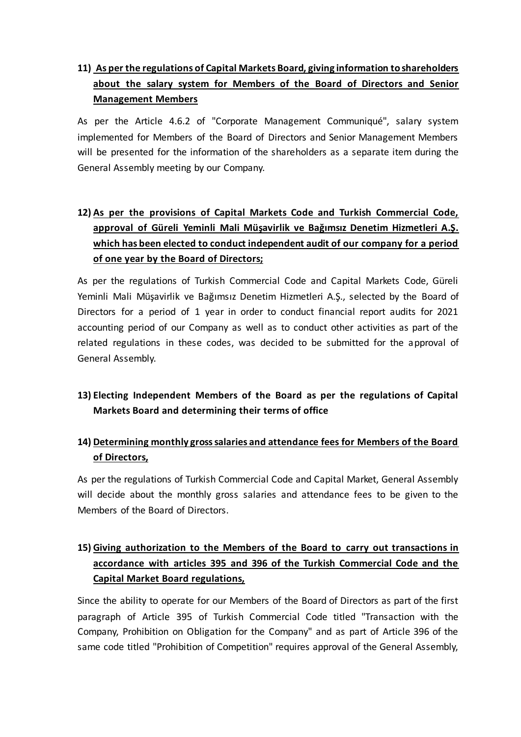# **11) As per the regulations of Capital Markets Board, giving information to shareholders about the salary system for Members of the Board of Directors and Senior Management Members**

As per the Article 4.6.2 of "Corporate Management Communiqué", salary system implemented for Members of the Board of Directors and Senior Management Members will be presented for the information of the shareholders as a separate item during the General Assembly meeting by our Company.

# **12) As per the provisions of Capital Markets Code and Turkish Commercial Code, approval of Güreli Yeminli Mali Müşavirlik ve Bağımsız Denetim Hizmetleri A.Ş. which has been elected to conduct independent audit of our company for a period of one year by the Board of Directors;**

As per the regulations of Turkish Commercial Code and Capital Markets Code, Güreli Yeminli Mali Müşavirlik ve Bağımsız Denetim Hizmetleri A.Ş., selected by the Board of Directors for a period of 1 year in order to conduct financial report audits for 2021 accounting period of our Company as well as to conduct other activities as part of the related regulations in these codes, was decided to be submitted for the approval of General Assembly.

# **13) Electing Independent Members of the Board as per the regulations of Capital Markets Board and determining their terms of office**

# **14) Determining monthly gross salaries and attendance fees for Members of the Board of Directors,**

As per the regulations of Turkish Commercial Code and Capital Market, General Assembly will decide about the monthly gross salaries and attendance fees to be given to the Members of the Board of Directors.

# **15) Giving authorization to the Members of the Board to carry out transactions in accordance with articles 395 and 396 of the Turkish Commercial Code and the Capital Market Board regulations,**

Since the ability to operate for our Members of the Board of Directors as part of the first paragraph of Article 395 of Turkish Commercial Code titled "Transaction with the Company, Prohibition on Obligation for the Company" and as part of Article 396 of the same code titled "Prohibition of Competition" requires approval of the General Assembly,